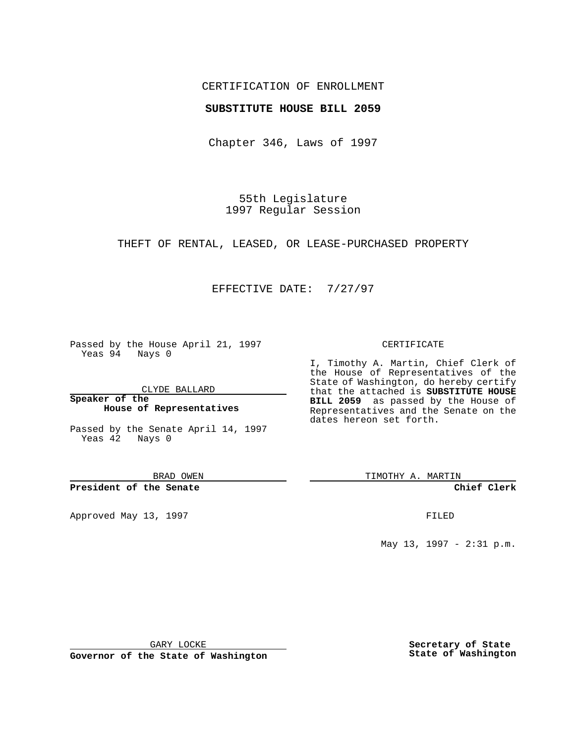## CERTIFICATION OF ENROLLMENT

## **SUBSTITUTE HOUSE BILL 2059**

Chapter 346, Laws of 1997

55th Legislature 1997 Regular Session

THEFT OF RENTAL, LEASED, OR LEASE-PURCHASED PROPERTY

## EFFECTIVE DATE: 7/27/97

Passed by the House April 21, 1997 Yeas 94 Nays 0

CLYDE BALLARD

**Speaker of the House of Representatives**

Passed by the Senate April 14, 1997 Yeas 42 Nays 0

BRAD OWEN

**President of the Senate**

Approved May 13, 1997 **FILED** 

#### CERTIFICATE

I, Timothy A. Martin, Chief Clerk of the House of Representatives of the State of Washington, do hereby certify that the attached is **SUBSTITUTE HOUSE BILL 2059** as passed by the House of Representatives and the Senate on the dates hereon set forth.

TIMOTHY A. MARTIN

**Chief Clerk**

May 13, 1997 - 2:31 p.m.

GARY LOCKE

**Governor of the State of Washington**

**Secretary of State State of Washington**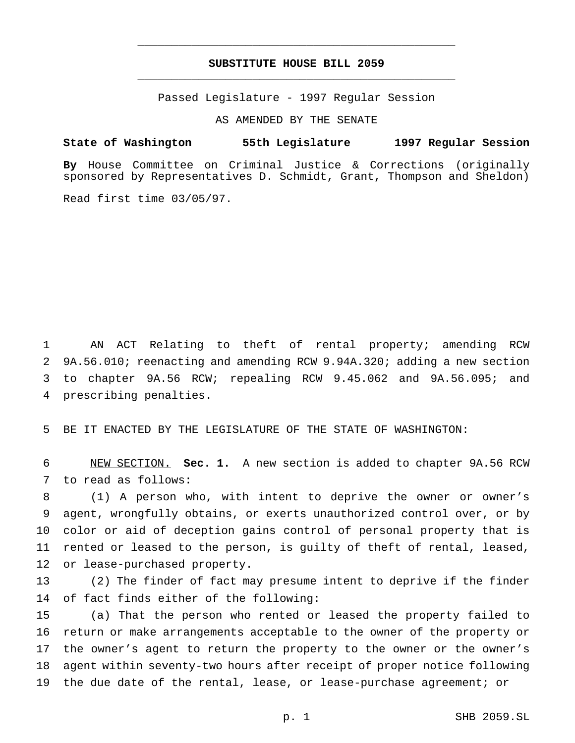# **SUBSTITUTE HOUSE BILL 2059** \_\_\_\_\_\_\_\_\_\_\_\_\_\_\_\_\_\_\_\_\_\_\_\_\_\_\_\_\_\_\_\_\_\_\_\_\_\_\_\_\_\_\_\_\_\_\_

\_\_\_\_\_\_\_\_\_\_\_\_\_\_\_\_\_\_\_\_\_\_\_\_\_\_\_\_\_\_\_\_\_\_\_\_\_\_\_\_\_\_\_\_\_\_\_

Passed Legislature - 1997 Regular Session

AS AMENDED BY THE SENATE

### **State of Washington 55th Legislature 1997 Regular Session**

**By** House Committee on Criminal Justice & Corrections (originally sponsored by Representatives D. Schmidt, Grant, Thompson and Sheldon)

Read first time 03/05/97.

 AN ACT Relating to theft of rental property; amending RCW 9A.56.010; reenacting and amending RCW 9.94A.320; adding a new section to chapter 9A.56 RCW; repealing RCW 9.45.062 and 9A.56.095; and prescribing penalties.

BE IT ENACTED BY THE LEGISLATURE OF THE STATE OF WASHINGTON:

 NEW SECTION. **Sec. 1.** A new section is added to chapter 9A.56 RCW to read as follows:

 (1) A person who, with intent to deprive the owner or owner's agent, wrongfully obtains, or exerts unauthorized control over, or by color or aid of deception gains control of personal property that is rented or leased to the person, is guilty of theft of rental, leased, or lease-purchased property.

 (2) The finder of fact may presume intent to deprive if the finder of fact finds either of the following:

 (a) That the person who rented or leased the property failed to return or make arrangements acceptable to the owner of the property or the owner's agent to return the property to the owner or the owner's agent within seventy-two hours after receipt of proper notice following the due date of the rental, lease, or lease-purchase agreement; or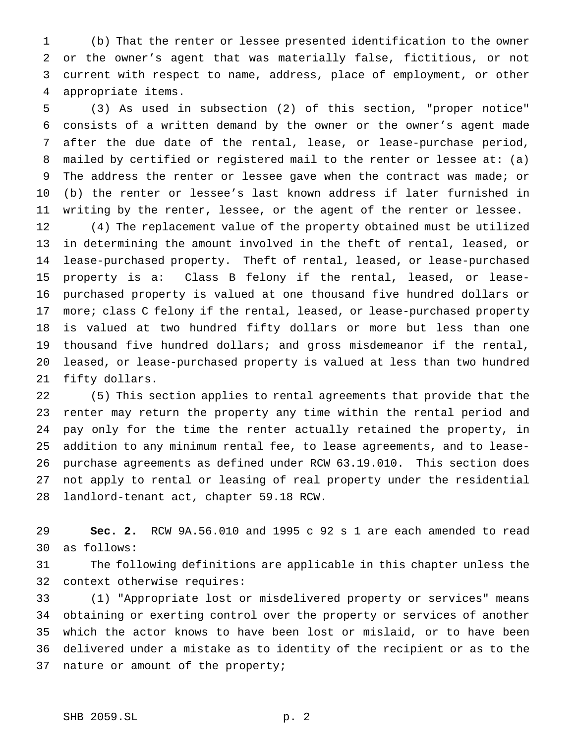(b) That the renter or lessee presented identification to the owner or the owner's agent that was materially false, fictitious, or not current with respect to name, address, place of employment, or other appropriate items.

 (3) As used in subsection (2) of this section, "proper notice" consists of a written demand by the owner or the owner's agent made after the due date of the rental, lease, or lease-purchase period, mailed by certified or registered mail to the renter or lessee at: (a) The address the renter or lessee gave when the contract was made; or (b) the renter or lessee's last known address if later furnished in writing by the renter, lessee, or the agent of the renter or lessee.

 (4) The replacement value of the property obtained must be utilized in determining the amount involved in the theft of rental, leased, or 14 lease-purchased property. Theft of rental, leased, or lease-purchased 15 property is a: Class B felony if the rental, leased, or lease- purchased property is valued at one thousand five hundred dollars or 17 more; class C felony if the rental, leased, or lease-purchased property is valued at two hundred fifty dollars or more but less than one thousand five hundred dollars; and gross misdemeanor if the rental, leased, or lease-purchased property is valued at less than two hundred fifty dollars.

 (5) This section applies to rental agreements that provide that the renter may return the property any time within the rental period and pay only for the time the renter actually retained the property, in addition to any minimum rental fee, to lease agreements, and to lease- purchase agreements as defined under RCW 63.19.010. This section does not apply to rental or leasing of real property under the residential landlord-tenant act, chapter 59.18 RCW.

 **Sec. 2.** RCW 9A.56.010 and 1995 c 92 s 1 are each amended to read as follows:

 The following definitions are applicable in this chapter unless the context otherwise requires:

 (1) "Appropriate lost or misdelivered property or services" means obtaining or exerting control over the property or services of another which the actor knows to have been lost or mislaid, or to have been delivered under a mistake as to identity of the recipient or as to the nature or amount of the property;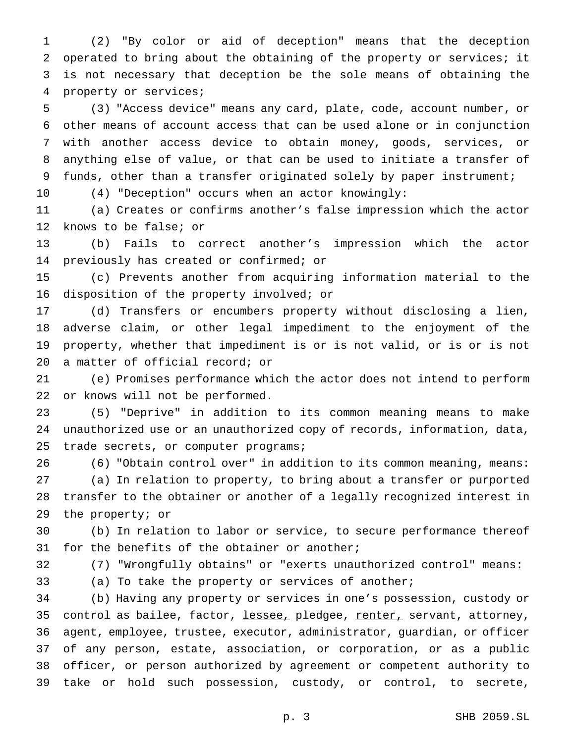(2) "By color or aid of deception" means that the deception operated to bring about the obtaining of the property or services; it is not necessary that deception be the sole means of obtaining the property or services;

 (3) "Access device" means any card, plate, code, account number, or other means of account access that can be used alone or in conjunction with another access device to obtain money, goods, services, or anything else of value, or that can be used to initiate a transfer of funds, other than a transfer originated solely by paper instrument;

(4) "Deception" occurs when an actor knowingly:

 (a) Creates or confirms another's false impression which the actor knows to be false; or

 (b) Fails to correct another's impression which the actor previously has created or confirmed; or

 (c) Prevents another from acquiring information material to the disposition of the property involved; or

 (d) Transfers or encumbers property without disclosing a lien, adverse claim, or other legal impediment to the enjoyment of the property, whether that impediment is or is not valid, or is or is not a matter of official record; or

 (e) Promises performance which the actor does not intend to perform or knows will not be performed.

 (5) "Deprive" in addition to its common meaning means to make unauthorized use or an unauthorized copy of records, information, data, 25 trade secrets, or computer programs;

(6) "Obtain control over" in addition to its common meaning, means:

 (a) In relation to property, to bring about a transfer or purported transfer to the obtainer or another of a legally recognized interest in the property; or

 (b) In relation to labor or service, to secure performance thereof for the benefits of the obtainer or another;

(7) "Wrongfully obtains" or "exerts unauthorized control" means:

(a) To take the property or services of another;

 (b) Having any property or services in one's possession, custody or 35 control as bailee, factor, lessee, pledgee, renter, servant, attorney, agent, employee, trustee, executor, administrator, guardian, or officer of any person, estate, association, or corporation, or as a public officer, or person authorized by agreement or competent authority to take or hold such possession, custody, or control, to secrete,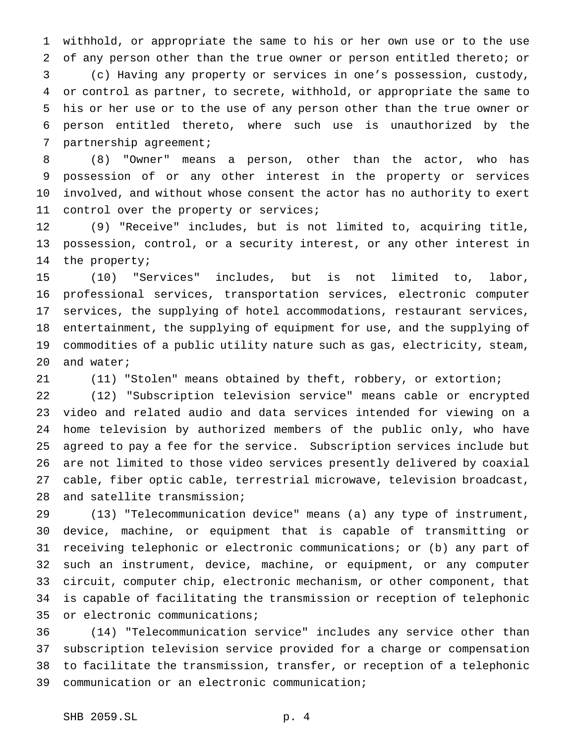withhold, or appropriate the same to his or her own use or to the use of any person other than the true owner or person entitled thereto; or (c) Having any property or services in one's possession, custody, or control as partner, to secrete, withhold, or appropriate the same to his or her use or to the use of any person other than the true owner or person entitled thereto, where such use is unauthorized by the partnership agreement;

 (8) "Owner" means a person, other than the actor, who has possession of or any other interest in the property or services involved, and without whose consent the actor has no authority to exert control over the property or services;

 (9) "Receive" includes, but is not limited to, acquiring title, possession, control, or a security interest, or any other interest in the property;

 (10) "Services" includes, but is not limited to, labor, professional services, transportation services, electronic computer services, the supplying of hotel accommodations, restaurant services, entertainment, the supplying of equipment for use, and the supplying of commodities of a public utility nature such as gas, electricity, steam, and water;

(11) "Stolen" means obtained by theft, robbery, or extortion;

 (12) "Subscription television service" means cable or encrypted video and related audio and data services intended for viewing on a home television by authorized members of the public only, who have agreed to pay a fee for the service. Subscription services include but are not limited to those video services presently delivered by coaxial cable, fiber optic cable, terrestrial microwave, television broadcast, and satellite transmission;

 (13) "Telecommunication device" means (a) any type of instrument, device, machine, or equipment that is capable of transmitting or receiving telephonic or electronic communications; or (b) any part of such an instrument, device, machine, or equipment, or any computer circuit, computer chip, electronic mechanism, or other component, that is capable of facilitating the transmission or reception of telephonic or electronic communications;

 (14) "Telecommunication service" includes any service other than subscription television service provided for a charge or compensation to facilitate the transmission, transfer, or reception of a telephonic communication or an electronic communication;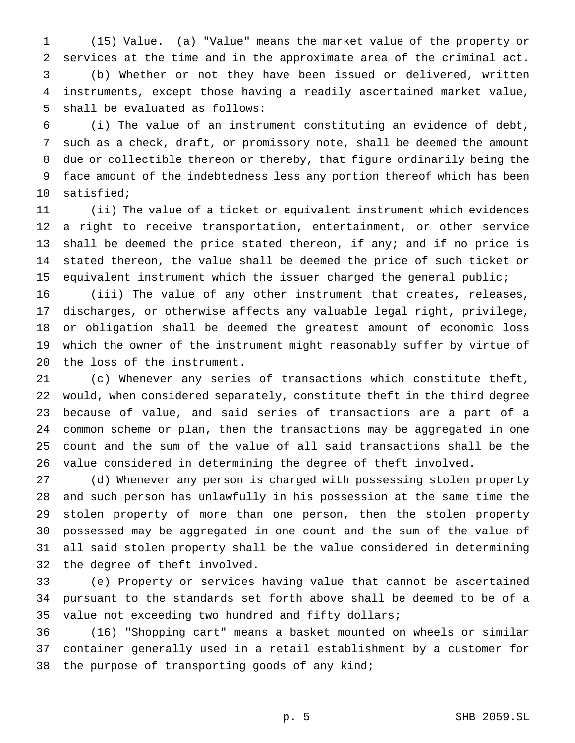(15) Value. (a) "Value" means the market value of the property or services at the time and in the approximate area of the criminal act. (b) Whether or not they have been issued or delivered, written instruments, except those having a readily ascertained market value, shall be evaluated as follows:

 (i) The value of an instrument constituting an evidence of debt, such as a check, draft, or promissory note, shall be deemed the amount due or collectible thereon or thereby, that figure ordinarily being the face amount of the indebtedness less any portion thereof which has been satisfied;

 (ii) The value of a ticket or equivalent instrument which evidences a right to receive transportation, entertainment, or other service 13 shall be deemed the price stated thereon, if any; and if no price is stated thereon, the value shall be deemed the price of such ticket or equivalent instrument which the issuer charged the general public;

 (iii) The value of any other instrument that creates, releases, discharges, or otherwise affects any valuable legal right, privilege, or obligation shall be deemed the greatest amount of economic loss which the owner of the instrument might reasonably suffer by virtue of the loss of the instrument.

 (c) Whenever any series of transactions which constitute theft, would, when considered separately, constitute theft in the third degree because of value, and said series of transactions are a part of a common scheme or plan, then the transactions may be aggregated in one count and the sum of the value of all said transactions shall be the value considered in determining the degree of theft involved.

 (d) Whenever any person is charged with possessing stolen property and such person has unlawfully in his possession at the same time the stolen property of more than one person, then the stolen property possessed may be aggregated in one count and the sum of the value of all said stolen property shall be the value considered in determining the degree of theft involved.

 (e) Property or services having value that cannot be ascertained pursuant to the standards set forth above shall be deemed to be of a value not exceeding two hundred and fifty dollars;

 (16) "Shopping cart" means a basket mounted on wheels or similar container generally used in a retail establishment by a customer for 38 the purpose of transporting goods of any kind;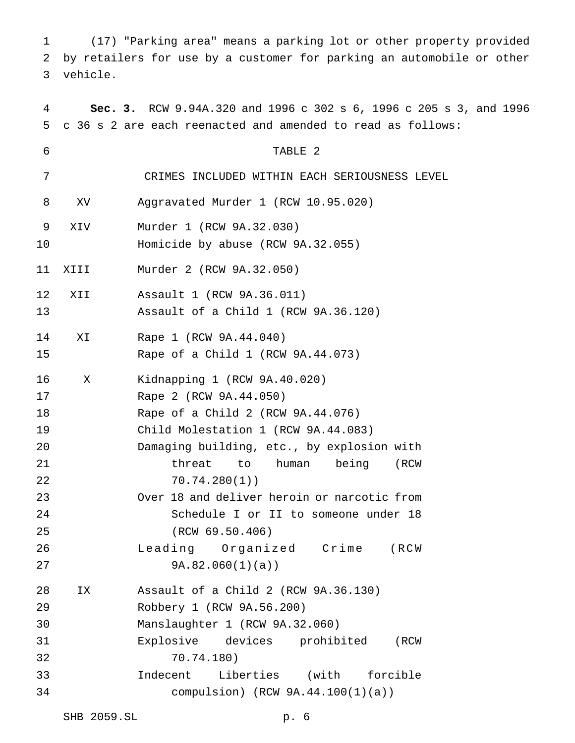(17) "Parking area" means a parking lot or other property provided by retailers for use by a customer for parking an automobile or other vehicle.

 **Sec. 3.** RCW 9.94A.320 and 1996 c 302 s 6, 1996 c 205 s 3, and 1996 c 36 s 2 are each reenacted and amended to read as follows: TABLE 2 CRIMES INCLUDED WITHIN EACH SERIOUSNESS LEVEL XV Aggravated Murder 1 (RCW 10.95.020) XIV Murder 1 (RCW 9A.32.030) Homicide by abuse (RCW 9A.32.055) XIII Murder 2 (RCW 9A.32.050) XII Assault 1 (RCW 9A.36.011) Assault of a Child 1 (RCW 9A.36.120) XI Rape 1 (RCW 9A.44.040) Rape of a Child 1 (RCW 9A.44.073) X Kidnapping 1 (RCW 9A.40.020) Rape 2 (RCW 9A.44.050) Rape of a Child 2 (RCW 9A.44.076) Child Molestation 1 (RCW 9A.44.083) Damaging building, etc., by explosion with threat to human being (RCW 70.74.280(1)) Over 18 and deliver heroin or narcotic from Schedule I or II to someone under 18 (RCW 69.50.406) Leading Organized Crime (RCW 9A.82.060(1)(a)) IX Assault of a Child 2 (RCW 9A.36.130) Robbery 1 (RCW 9A.56.200) Manslaughter 1 (RCW 9A.32.060) Explosive devices prohibited (RCW 70.74.180) Indecent Liberties (with forcible compulsion) (RCW 9A.44.100(1)(a))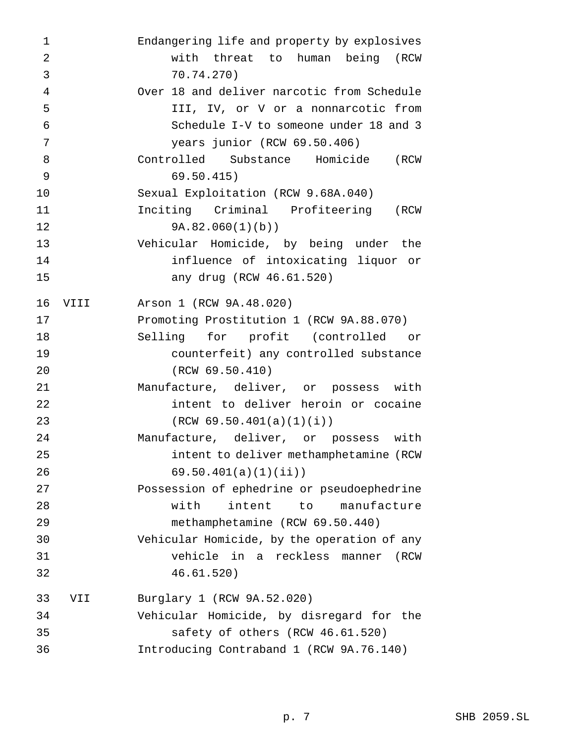| 1              |      | Endangering life and property by explosives |
|----------------|------|---------------------------------------------|
| $\overline{2}$ |      | with threat to human being (RCW             |
| 3              |      | 70.74.270)                                  |
| 4              |      | Over 18 and deliver narcotic from Schedule  |
| 5              |      | III, IV, or V or a nonnarcotic from         |
| 6              |      | Schedule I-V to someone under 18 and 3      |
| 7              |      | years junior (RCW 69.50.406)                |
| 8              |      | Controlled Substance Homicide (RCW          |
| 9              |      | 69.50.415)                                  |
| 10             |      | Sexual Exploitation (RCW 9.68A.040)         |
| 11             |      | Inciting Criminal Profiteering (RCW         |
| 12             |      | 9A.82.060(1)(b)                             |
| 13             |      | Vehicular Homicide, by being under the      |
| 14             |      | influence of intoxicating liquor or         |
| 15             |      | any drug (RCW 46.61.520)                    |
| 16             | VIII | Arson 1 (RCW 9A.48.020)                     |
| 17             |      | Promoting Prostitution 1 (RCW 9A.88.070)    |
| 18             |      | Selling for profit (controlled or           |
| 19             |      | counterfeit) any controlled substance       |
| 20             |      | (RCW 69.50.410)                             |
| 21             |      | Manufacture, deliver, or possess with       |
| 22             |      | intent to deliver heroin or cocaine         |
| 23             |      | (RCW 69.50.401(a)(1)(i))                    |
| 24             |      | Manufacture, deliver, or possess with       |
| 25             |      | intent to deliver methamphetamine (RCW      |
| 26             |      | 69.50.401(a)(1)(ii)                         |
| 27             |      | Possession of ephedrine or pseudoephedrine  |
| 28             |      | with<br>intent<br>to<br>manufacture         |
| 29             |      | methamphetamine (RCW 69.50.440)             |
| 30             |      | Vehicular Homicide, by the operation of any |
| 31             |      | vehicle in a reckless manner<br>(RCW        |
| 32             |      | 46.61.520)                                  |
| 33             | VII  | Burglary 1 (RCW 9A.52.020)                  |
| 34             |      | Vehicular Homicide, by disregard for the    |
| 35             |      | safety of others (RCW 46.61.520)            |
| 36             |      | Introducing Contraband 1 (RCW 9A.76.140)    |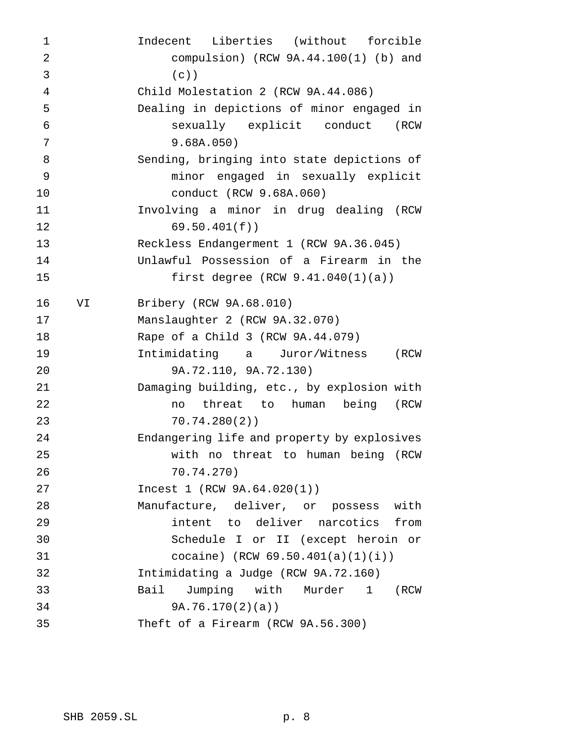Indecent Liberties (without forcible compulsion) (RCW 9A.44.100(1) (b) and (c)) Child Molestation 2 (RCW 9A.44.086) Dealing in depictions of minor engaged in sexually explicit conduct (RCW 9.68A.050) Sending, bringing into state depictions of minor engaged in sexually explicit conduct (RCW 9.68A.060) Involving a minor in drug dealing (RCW 69.50.401(f)) Reckless Endangerment 1 (RCW 9A.36.045) Unlawful Possession of a Firearm in the first degree (RCW 9.41.040(1)(a)) VI Bribery (RCW 9A.68.010) Manslaughter 2 (RCW 9A.32.070) Rape of a Child 3 (RCW 9A.44.079) Intimidating a Juror/Witness (RCW 9A.72.110, 9A.72.130) Damaging building, etc., by explosion with no threat to human being (RCW 70.74.280(2)) Endangering life and property by explosives with no threat to human being (RCW 70.74.270) Incest 1 (RCW 9A.64.020(1)) Manufacture, deliver, or possess with intent to deliver narcotics from Schedule I or II (except heroin or cocaine) (RCW 69.50.401(a)(1)(i)) Intimidating a Judge (RCW 9A.72.160) Bail Jumping with Murder 1 (RCW 9A.76.170(2)(a)) Theft of a Firearm (RCW 9A.56.300)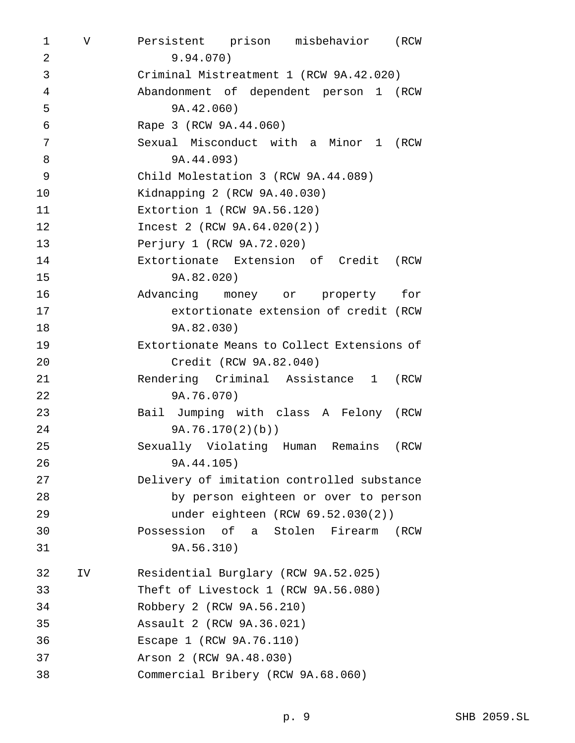V Persistent prison misbehavior (RCW 9.94.070) Criminal Mistreatment 1 (RCW 9A.42.020) Abandonment of dependent person 1 (RCW 9A.42.060) Rape 3 (RCW 9A.44.060) Sexual Misconduct with a Minor 1 (RCW 9A.44.093) Child Molestation 3 (RCW 9A.44.089) Kidnapping 2 (RCW 9A.40.030) Extortion 1 (RCW 9A.56.120) Incest 2 (RCW 9A.64.020(2)) Perjury 1 (RCW 9A.72.020) Extortionate Extension of Credit (RCW 9A.82.020) Advancing money or property for extortionate extension of credit (RCW 9A.82.030) Extortionate Means to Collect Extensions of Credit (RCW 9A.82.040) Rendering Criminal Assistance 1 (RCW 9A.76.070) Bail Jumping with class A Felony (RCW 9A.76.170(2)(b)) Sexually Violating Human Remains (RCW 9A.44.105) Delivery of imitation controlled substance by person eighteen or over to person under eighteen (RCW 69.52.030(2)) Possession of a Stolen Firearm (RCW 9A.56.310) IV Residential Burglary (RCW 9A.52.025) Theft of Livestock 1 (RCW 9A.56.080) Robbery 2 (RCW 9A.56.210) Assault 2 (RCW 9A.36.021) Escape 1 (RCW 9A.76.110) Arson 2 (RCW 9A.48.030) Commercial Bribery (RCW 9A.68.060)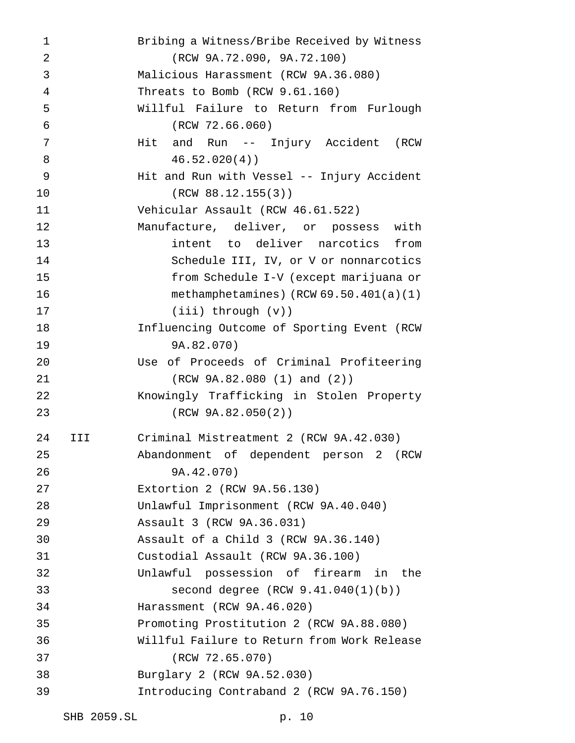Bribing a Witness/Bribe Received by Witness (RCW 9A.72.090, 9A.72.100) Malicious Harassment (RCW 9A.36.080) Threats to Bomb (RCW 9.61.160) Willful Failure to Return from Furlough (RCW 72.66.060) 7 Mit and Run -- Injury Accident (RCW 46.52.020(4)) Hit and Run with Vessel -- Injury Accident (RCW 88.12.155(3)) Vehicular Assault (RCW 46.61.522) Manufacture, deliver, or possess with intent to deliver narcotics from Schedule III, IV, or V or nonnarcotics from Schedule I-V (except marijuana or methamphetamines) (RCW 69.50.401(a)(1) (iii) through (v)) Influencing Outcome of Sporting Event (RCW 9A.82.070) Use of Proceeds of Criminal Profiteering (RCW 9A.82.080 (1) and (2)) Knowingly Trafficking in Stolen Property (RCW 9A.82.050(2)) III Criminal Mistreatment 2 (RCW 9A.42.030) Abandonment of dependent person 2 (RCW 9A.42.070) Extortion 2 (RCW 9A.56.130) Unlawful Imprisonment (RCW 9A.40.040) Assault 3 (RCW 9A.36.031) Assault of a Child 3 (RCW 9A.36.140) Custodial Assault (RCW 9A.36.100) Unlawful possession of firearm in the second degree (RCW 9.41.040(1)(b)) Harassment (RCW 9A.46.020) Promoting Prostitution 2 (RCW 9A.88.080) Willful Failure to Return from Work Release (RCW 72.65.070) Burglary 2 (RCW 9A.52.030) Introducing Contraband 2 (RCW 9A.76.150)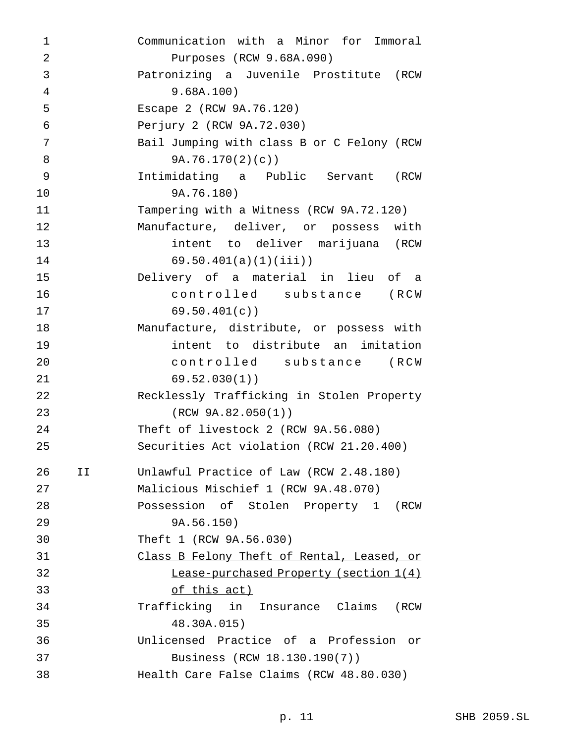| 1              |    | Communication with a Minor for Immoral     |
|----------------|----|--------------------------------------------|
| $\overline{2}$ |    | Purposes (RCW 9.68A.090)                   |
| 3              |    | Patronizing a Juvenile Prostitute (RCW     |
| 4              |    | 9.68A.100)                                 |
| 5              |    | Escape 2 (RCW 9A.76.120)                   |
| $\epsilon$     |    | Perjury 2 (RCW 9A.72.030)                  |
| 7              |    | Bail Jumping with class B or C Felony (RCW |
| 8              |    | 9A.76.170(2)(c)                            |
| 9              |    | Intimidating a Public Servant (RCW         |
| 10             |    | 9A.76.180)                                 |
| 11             |    | Tampering with a Witness (RCW 9A.72.120)   |
| 12             |    | Manufacture, deliver, or possess with      |
| 13             |    | intent to deliver marijuana (RCW           |
| 14             |    | 69.50.401(a)(1)(iii)                       |
| 15             |    | Delivery of a material in lieu of a        |
| 16             |    | controlled substance (RCW                  |
| 17             |    | 69.50.401(c)                               |
| 18             |    | Manufacture, distribute, or possess with   |
| 19             |    | intent to distribute an imitation          |
| 20             |    | controlled substance (RCW                  |
| 21             |    | 69.52.030(1)                               |
| 22             |    | Recklessly Trafficking in Stolen Property  |
| 23             |    | (RCW 9A.82.050(1))                         |
| 24             |    | Theft of livestock 2 (RCW 9A.56.080)       |
| 25             |    | Securities Act violation (RCW 21.20.400)   |
| 26             | II | Unlawful Practice of Law (RCW 2.48.180)    |
| 27             |    | Malicious Mischief 1 (RCW 9A.48.070)       |
| 28             |    | Possession of Stolen Property 1 (RCW       |
| 29             |    | 9A.56.150)                                 |
| 30             |    | Theft 1 (RCW 9A.56.030)                    |
| 31             |    | Class B Felony Theft of Rental, Leased, or |
| 32             |    | Lease-purchased Property (section 1(4)     |
| 33             |    | <u>of this act)</u>                        |
| 34             |    | Trafficking in Insurance Claims (RCW       |
| 35             |    | 48.30A.015)                                |
| 36             |    | Unlicensed Practice of a Profession or     |
| 37             |    | Business (RCW 18.130.190(7))               |
| 38             |    | Health Care False Claims (RCW 48.80.030)   |
|                |    |                                            |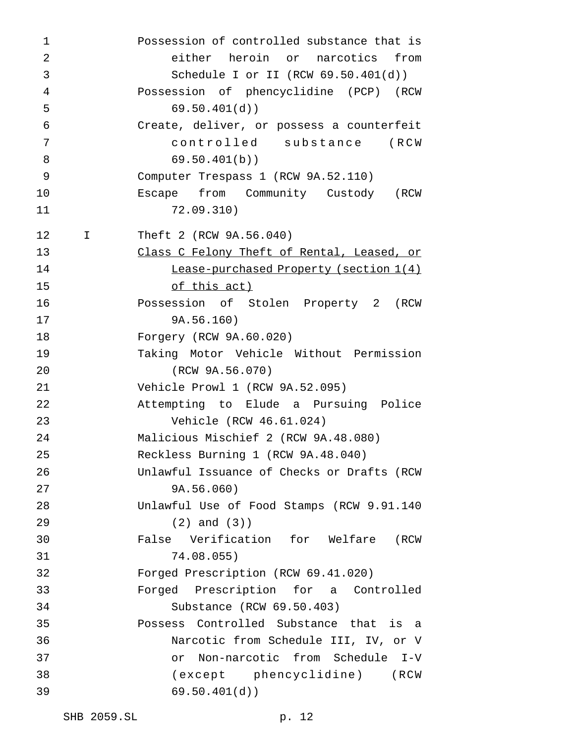| 1              |             | Possession of controlled substance that is |
|----------------|-------------|--------------------------------------------|
| $\overline{2}$ |             | either heroin or narcotics<br>from         |
| 3              |             | Schedule I or II (RCW $69.50.401(d)$ )     |
| $\overline{4}$ |             | Possession of phencyclidine (PCP) (RCW     |
| 5              |             | 69.50.401(d)                               |
| $\epsilon$     |             | Create, deliver, or possess a counterfeit  |
| 7              |             | controlled substance (RCW                  |
| 8              |             | 69.50.401(b)                               |
| 9              |             | Computer Trespass 1 (RCW 9A.52.110)        |
| 10             |             | Escape from Community Custody (RCW         |
| 11             |             | 72.09.310)                                 |
| 12             | $\mathbf I$ | Theft 2 (RCW 9A.56.040)                    |
| 13             |             | Class C Felony Theft of Rental, Leased, or |
| 14             |             | Lease-purchased Property (section 1(4)     |
| 15             |             | <u>of this act)</u>                        |
| 16             |             | Possession of Stolen Property 2 (RCW       |
| 17             |             | 9A.56.160)                                 |
| 18             |             | Forgery (RCW 9A.60.020)                    |
| 19             |             | Taking Motor Vehicle Without Permission    |
| 20             |             | (RCW 9A.56.070)                            |
| 21             |             | Vehicle Prowl 1 (RCW 9A.52.095)            |
| 22             |             | Attempting to Elude a Pursuing Police      |
| 23             |             | Vehicle (RCW 46.61.024)                    |
| 24             |             | Malicious Mischief 2 (RCW 9A.48.080)       |
| 25             |             | Reckless Burning 1 (RCW 9A.48.040)         |
| 26             |             | Unlawful Issuance of Checks or Drafts (RCW |
| 27             |             | 9A.56.060)                                 |
| 28             |             | Unlawful Use of Food Stamps (RCW 9.91.140  |
| 29             |             | $(2)$ and $(3)$ )                          |
| 30             |             | False Verification for Welfare (RCW        |
| 31             |             | 74.08.055)                                 |
| 32             |             | Forged Prescription (RCW 69.41.020)        |
| 33             |             | Forged Prescription for a Controlled       |
| 34             |             | Substance (RCW 69.50.403)                  |
| 35             |             | Possess Controlled Substance that is a     |
| 36             |             | Narcotic from Schedule III, IV, or V       |
| 37             |             | or Non-narcotic from Schedule I-V          |
| 38             |             | (except phencyclidine) (RCW                |
| 39             |             | 69.50.401(d)                               |